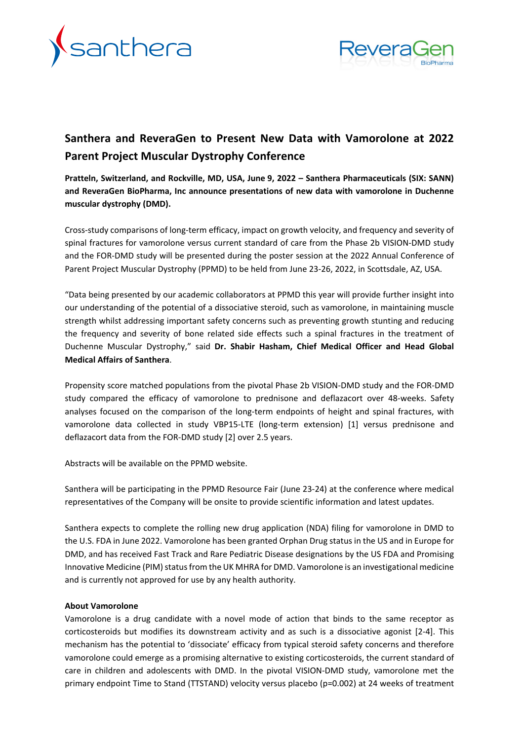



# **Santhera and ReveraGen to Present New Data with Vamorolone at 2022 Parent Project Muscular Dystrophy Conference**

**Pratteln, Switzerland, and Rockville, MD, USA, June 9, 2022 – Santhera Pharmaceuticals (SIX: SANN) and ReveraGen BioPharma, Inc announce presentations of new data with vamorolone in Duchenne muscular dystrophy (DMD).** 

Cross-study comparisons of long-term efficacy, impact on growth velocity, and frequency and severity of spinal fractures for vamorolone versus current standard of care from the Phase 2b VISION-DMD study and the FOR-DMD study will be presented during the poster session at the 2022 Annual Conference of Parent Project Muscular Dystrophy (PPMD) to be held from June 23-26, 2022, in Scottsdale, AZ, USA.

"Data being presented by our academic collaborators at PPMD this year will provide further insight into our understanding of the potential of a dissociative steroid, such as vamorolone, in maintaining muscle strength whilst addressing important safety concerns such as preventing growth stunting and reducing the frequency and severity of bone related side effects such a spinal fractures in the treatment of Duchenne Muscular Dystrophy," said **Dr. Shabir Hasham, Chief Medical Officer and Head Global Medical Affairs of Santhera**.

Propensity score matched populations from the pivotal Phase 2b VISION-DMD study and the FOR-DMD study compared the efficacy of vamorolone to prednisone and deflazacort over 48-weeks. Safety analyses focused on the comparison of the long-term endpoints of height and spinal fractures, with vamorolone data collected in study VBP15-LTE (long-term extension) [1] versus prednisone and deflazacort data from the FOR-DMD study [2] over 2.5 years.

Abstracts will be available on the PPMD website.

Santhera will be participating in the PPMD Resource Fair (June 23-24) at the conference where medical representatives of the Company will be onsite to provide scientific information and latest updates.

Santhera expects to complete the rolling new drug application (NDA) filing for vamorolone in DMD to the U.S. FDA in June 2022. Vamorolone has been granted Orphan Drug status in the US and in Europe for DMD, and has received Fast Track and Rare Pediatric Disease designations by the US FDA and Promising Innovative Medicine (PIM) status from the UK MHRA for DMD. Vamorolone is an investigational medicine and is currently not approved for use by any health authority.

#### **About Vamorolone**

Vamorolone is a drug candidate with a novel mode of action that binds to the same receptor as corticosteroids but modifies its downstream activity and as such is a dissociative agonist [2-4]. This mechanism has the potential to 'dissociate' efficacy from typical steroid safety concerns and therefore vamorolone could emerge as a promising alternative to existing corticosteroids, the current standard of care in children and adolescents with DMD. In the pivotal VISION-DMD study, vamorolone met the primary endpoint Time to Stand (TTSTAND) velocity versus placebo (p=0.002) at 24 weeks of treatment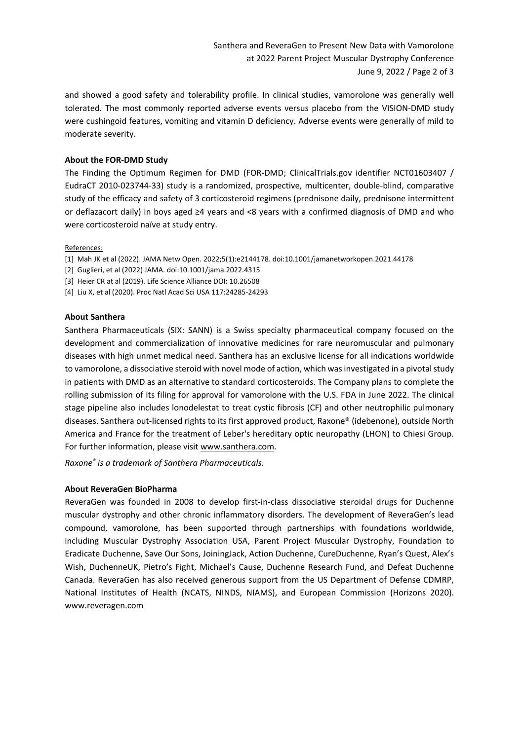and showed a good safety and tolerability profile. In clinical studies, vamorolone was generally well tolerated. The most commonly reported adverse events versus placebo from the VISION-DMD study were cushingoid features, vomiting and vitamin D deficiency. Adverse events were generally of mild to moderate severity.

# **About the FOR-DMD Study**

The Finding the Optimum Regimen for DMD (FOR-DMD; ClinicalTrials.gov identifier NCT01603407 / EudraCT 2010-023744-33) study is a randomized, prospective, multicenter, double-blind, comparative study of the efficacy and safety of 3 corticosteroid regimens (prednisone daily, prednisone intermittent or deflazacort daily) in boys aged ≥4 years and <8 years with a confirmed diagnosis of DMD and who were corticosteroid naïve at study entry.

#### References:

- [1] Mah JK et al (2022). JAMA Netw Open. 2022;5(1):e2144178. doi:10.1001/jamanetworkopen.2021.44178
- [2] Guglieri, et al (2022) JAMA. doi:10.1001/jama.2022.4315
- [3] Heier CR at al (2019). Life Science Alliance DOI: 10.26508
- [4] Liu X, et al (2020). Proc Natl Acad Sci USA 117:24285-24293

## **About Santhera**

Santhera Pharmaceuticals (SIX: SANN) is a Swiss specialty pharmaceutical company focused on the development and commercialization of innovative medicines for rare neuromuscular and pulmonary diseases with high unmet medical need. Santhera has an exclusive license for all indications worldwide to vamorolone, a dissociative steroid with novel mode of action, which was investigated in a pivotal study in patients with DMD as an alternative to standard corticosteroids. The Company plans to complete the rolling submission of its filing for approval for vamorolone with the U.S. FDA in June 2022. The clinical stage pipeline also includes lonodelestat to treat cystic fibrosis (CF) and other neutrophilic pulmonary diseases. Santhera out-licensed rights to its first approved product, Raxone® (idebenone), outside North America and France for the treatment of Leber's hereditary optic neuropathy (LHON) to Chiesi Group. For further information, please visit www.santhera.com.

*Raxone® is a trademark of Santhera Pharmaceuticals.*

# **About ReveraGen BioPharma**

ReveraGen was founded in 2008 to develop first-in-class dissociative steroidal drugs for Duchenne muscular dystrophy and other chronic inflammatory disorders. The development of ReveraGen's lead compound, vamorolone, has been supported through partnerships with foundations worldwide, including Muscular Dystrophy Association USA, Parent Project Muscular Dystrophy, Foundation to Eradicate Duchenne, Save Our Sons, JoiningJack, Action Duchenne, CureDuchenne, Ryan's Quest, Alex's Wish, DuchenneUK, Pietro's Fight, Michael's Cause, Duchenne Research Fund, and Defeat Duchenne Canada. ReveraGen has also received generous support from the US Department of Defense CDMRP, National Institutes of Health (NCATS, NINDS, NIAMS), and European Commission (Horizons 2020). [www.reveragen.com](http://www.reveragen.com/)